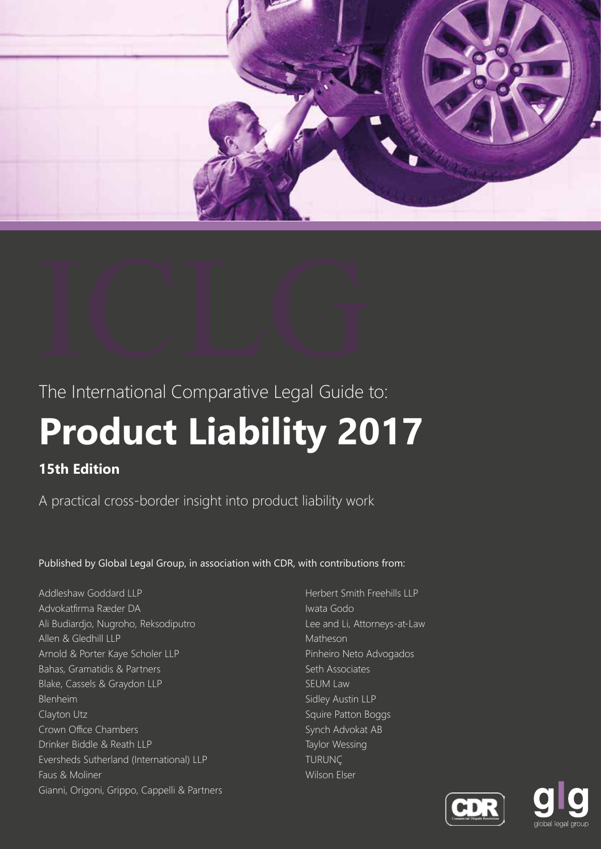



# The International Comparative Legal Guide to: **Product Liability 2017**

# **15th Edition**

A practical cross-border insight into product liability work

Published by Global Legal Group, in association with CDR, with contributions from:

Addleshaw Goddard LLP Advokatfirma Ræder DA Ali Budiardjo, Nugroho, Reksodiputro Allen & Gledhill LLP Arnold & Porter Kaye Scholer LLP Bahas, Gramatidis & Partners Blake, Cassels & Graydon LLP Blenheim Clayton Utz Crown Office Chambers Drinker Biddle & Reath LLP Eversheds Sutherland (International) LLP Faus & Moliner Gianni, Origoni, Grippo, Cappelli & Partners Herbert Smith Freehills LLP Iwata Godo Lee and Li, Attorneys-at-Law Matheson Pinheiro Neto Advogados Seth Associates SEUM Law Sidley Austin LLP Squire Patton Boggs Synch Advokat AB Taylor Wessing TURUNÇ Wilson Elser



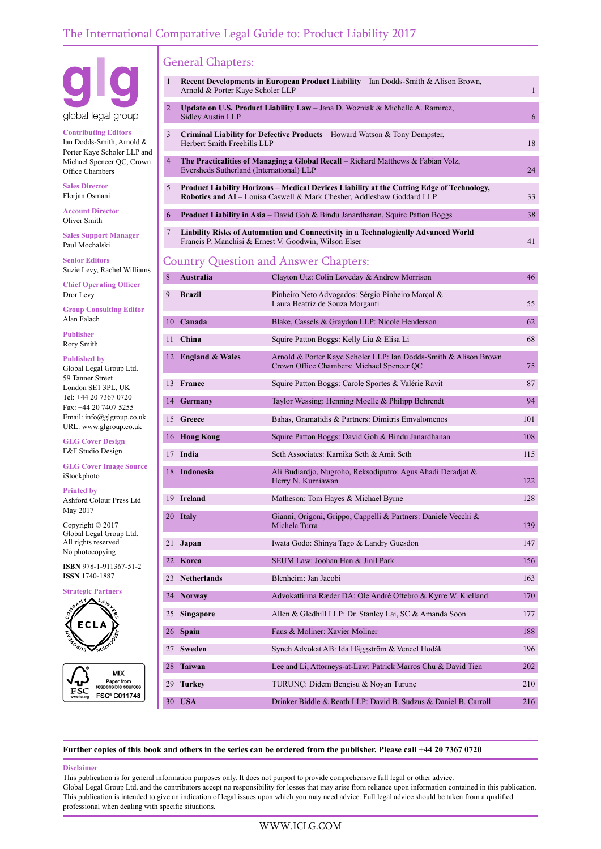

**Contributing Editors** Ian Dodds-Smith, Arnold & Porter Kaye Scholer LLP and Michael Spencer QC, Crown Office Chambers

**Sales Director** Florjan Osmani

**Account Director** Oliver Smith

**Sales Support Manager** Paul Mochalski

**Senior Editors** Suzie Levy, Rachel Williams

**Chief Operating Officer** Dror Levy

**Group Consulting Editor** Alan Falach

**Publisher** Rory Smith

#### **Published by**

Global Legal Group Ltd. 59 Tanner Street London SE1 3PL, UK Tel: +44 20 7367 0720 Fax: +44 20 7407 5255 Email: info@glgroup.co.uk URL: www.glgroup.co.uk

**GLG Cover Design** F&F Studio Design

**GLG Cover Image Source** iStockphoto

#### **Printed by**

Ashford Colour Press Ltd May 2017

Copyright © 2017 All rights reserved No photocopying

**ISBN** 978-1-911367-51-2 **ISSN** 1740-1887

**Strategic Partners**





# General Chapters:

| $\mathbf{1}$                                 | Recent Developments in European Product Liability – Ian Dodds-Smith & Alison Brown,<br>Arnold & Porter Kaye Scholer LLP                                             |                                                                                                               | $\mathbf{1}$ |
|----------------------------------------------|---------------------------------------------------------------------------------------------------------------------------------------------------------------------|---------------------------------------------------------------------------------------------------------------|--------------|
| 2                                            | <b>Update on U.S. Product Liability Law</b> – Jana D. Wozniak & Michelle A. Ramirez,<br><b>Sidley Austin LLP</b>                                                    |                                                                                                               | 6            |
| $\overline{3}$                               | Criminal Liability for Defective Products – Howard Watson & Tony Dempster,<br>Herbert Smith Freehills LLP                                                           |                                                                                                               | 18           |
| $\overline{4}$                               | The Practicalities of Managing a Global Recall – Richard Matthews & Fabian Volz,<br>Eversheds Sutherland (International) LLP                                        |                                                                                                               | 24           |
| 5                                            | Product Liability Horizons – Medical Devices Liability at the Cutting Edge of Technology,<br>Robotics and AI - Louisa Caswell & Mark Chesher, Addleshaw Goddard LLP |                                                                                                               | 33           |
| 6                                            | <b>Product Liability in Asia</b> – David Goh & Bindu Janardhanan, Squire Patton Boggs                                                                               |                                                                                                               | 38           |
| $\overline{7}$                               | Liability Risks of Automation and Connectivity in a Technologically Advanced World -<br>Francis P. Manchisi & Ernest V. Goodwin, Wilson Elser                       |                                                                                                               | 41           |
| <b>Country Question and Answer Chapters:</b> |                                                                                                                                                                     |                                                                                                               |              |
| 8                                            | <b>Australia</b>                                                                                                                                                    | Clayton Utz: Colin Loveday & Andrew Morrison                                                                  | 46           |
| 9                                            | <b>Brazil</b>                                                                                                                                                       | Pinheiro Neto Advogados: Sérgio Pinheiro Marçal &<br>Laura Beatriz de Souza Morganti                          | 55           |
| 10                                           | Canada                                                                                                                                                              | Blake, Cassels & Graydon LLP: Nicole Henderson                                                                | 62           |
| 11                                           | China                                                                                                                                                               | Squire Patton Boggs: Kelly Liu & Elisa Li                                                                     | 68           |
|                                              | 12 England & Wales                                                                                                                                                  | Arnold & Porter Kaye Scholer LLP: Ian Dodds-Smith & Alison Brown<br>Crown Office Chambers: Michael Spencer QC | 75           |
|                                              | 13 France                                                                                                                                                           | Squire Patton Boggs: Carole Sportes & Valérie Ravit                                                           | 87           |
|                                              | 14 Germany                                                                                                                                                          | Taylor Wessing: Henning Moelle & Philipp Behrendt                                                             | 94           |

15 **Greece** Bahas, Gramatidis & Partners: Dimitris Emvalomenos 101

19 **Ireland** Matheson: Tom Hayes & Michael Byrne 128

 **Japan** Iwata Godo: Shinya Tago & Landry Guesdon 147 **Korea** SEUM Law: Joohan Han & Jinil Park 156 **Netherlands** Blenheim: Jan Jacobi 163 **Norway** Advokatfirma Ræder DA: Ole André Oftebro & Kyrre W. Kielland 170 **Singapore** Allen & Gledhill LLP: Dr. Stanley Lai, SC & Amanda Soon 177 **Spain** Faus & Moliner: Xavier Moliner 188 **Sweden** Synch Advokat AB: Ida Häggström & Vencel Hodák 196 **Taiwan** Lee and Li, Attorneys-at-Law: Patrick Marros Chu & David Tien 202 **Turkey** TURUNÇ: Didem Bengisu & Noyan Turunç 210 **USA** Drinker Biddle & Reath LLP: David B. Sudzus & Daniel B. Carroll 216

20 **Italy** Gianni, Origoni, Grippo, Cappelli & Partners: Daniele Vecchi &

Herry N. Kurniawan 122

Michela Turra 139

16 **Hong Kong** Squire Patton Boggs: David Goh & Bindu Janardhanan 108 17 **India** Seth Associates: Karnika Seth & Amit Seth 115 18 **Indonesia** Ali Budiardjo, Nugroho, Reksodiputro: Agus Ahadi Deradjat &

Global Legal Group Ltd.

#### **Further copies of this book and others in the series can be ordered from the publisher. Please call +44 20 7367 0720**

#### **Disclaimer**

This publication is for general information purposes only. It does not purport to provide comprehensive full legal or other advice. Global Legal Group Ltd. and the contributors accept no responsibility for losses that may arise from reliance upon information contained in this publication. This publication is intended to give an indication of legal issues upon which you may need advice. Full legal advice should be taken from a qualified professional when dealing with specific situations.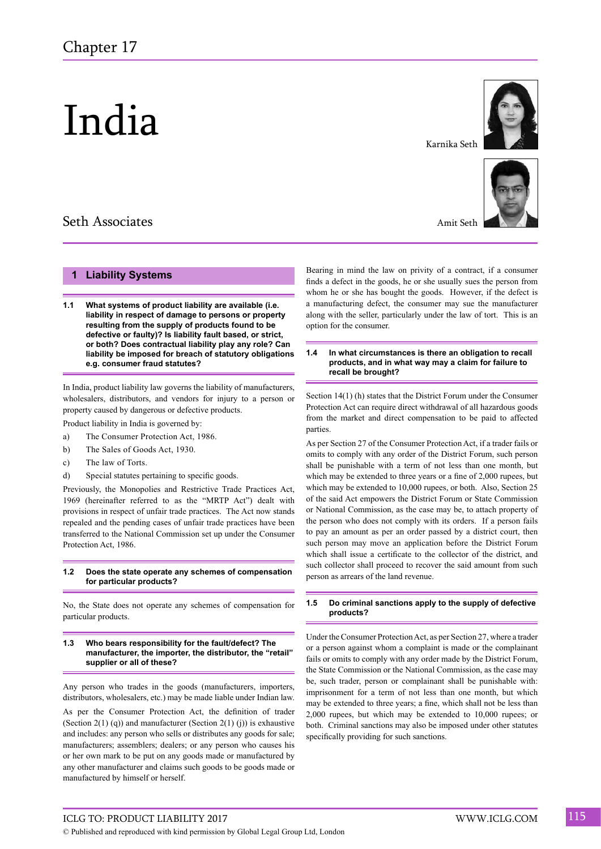# India

# Seth Associates

#### **1 Liability Systems**

**1.1 What systems of product liability are available (i.e. liability in respect of damage to persons or property resulting from the supply of products found to be defective or faulty)? Is liability fault based, or strict, or both? Does contractual liability play any role? Can liability be imposed for breach of statutory obligations e.g. consumer fraud statutes?**

In India, product liability law governs the liability of manufacturers, wholesalers, distributors, and vendors for injury to a person or property caused by dangerous or defective products.

Product liability in India is governed by:

- a) The Consumer Protection Act, 1986.
- b) The Sales of Goods Act, 1930.
- c) The law of Torts.
- d) Special statutes pertaining to specific goods.

Previously, the Monopolies and Restrictive Trade Practices Act, 1969 (hereinafter referred to as the "MRTP Act") dealt with provisions in respect of unfair trade practices. The Act now stands repealed and the pending cases of unfair trade practices have been transferred to the National Commission set up under the Consumer Protection Act, 1986.

#### **1.2 Does the state operate any schemes of compensation for particular products?**

No, the State does not operate any schemes of compensation for particular products.

#### **1.3 Who bears responsibility for the fault/defect? The manufacturer, the importer, the distributor, the "retail" supplier or all of these?**

Any person who trades in the goods (manufacturers, importers, distributors, wholesalers, etc.) may be made liable under Indian law.

As per the Consumer Protection Act, the definition of trader (Section 2(1) (q)) and manufacturer (Section 2(1) (j)) is exhaustive and includes: any person who sells or distributes any goods for sale; manufacturers; assemblers; dealers; or any person who causes his or her own mark to be put on any goods made or manufactured by any other manufacturer and claims such goods to be goods made or manufactured by himself or herself.

Karnika Seth



Amit Seth

Bearing in mind the law on privity of a contract, if a consumer finds a defect in the goods, he or she usually sues the person from whom he or she has bought the goods. However, if the defect is a manufacturing defect, the consumer may sue the manufacturer along with the seller, particularly under the law of tort. This is an option for the consumer.

**1.4 In what circumstances is there an obligation to recall products, and in what way may a claim for failure to recall be brought?**

Section 14(1) (h) states that the District Forum under the Consumer Protection Act can require direct withdrawal of all hazardous goods from the market and direct compensation to be paid to affected parties.

As per Section 27 of the Consumer Protection Act, if a trader fails or omits to comply with any order of the District Forum, such person shall be punishable with a term of not less than one month, but which may be extended to three years or a fine of 2,000 rupees, but which may be extended to 10,000 rupees, or both. Also, Section 25 of the said Act empowers the District Forum or State Commission or National Commission, as the case may be, to attach property of the person who does not comply with its orders. If a person fails to pay an amount as per an order passed by a district court, then such person may move an application before the District Forum which shall issue a certificate to the collector of the district, and such collector shall proceed to recover the said amount from such person as arrears of the land revenue.

#### **1.5 Do criminal sanctions apply to the supply of defective products?**

Under the Consumer Protection Act, as per Section 27, where a trader or a person against whom a complaint is made or the complainant fails or omits to comply with any order made by the District Forum, the State Commission or the National Commission, as the case may be, such trader, person or complainant shall be punishable with: imprisonment for a term of not less than one month, but which may be extended to three years; a fine, which shall not be less than 2,000 rupees, but which may be extended to 10,000 rupees; or both. Criminal sanctions may also be imposed under other statutes specifically providing for such sanctions.

© Published and reproduced with kind permission by Global Legal Group Ltd, London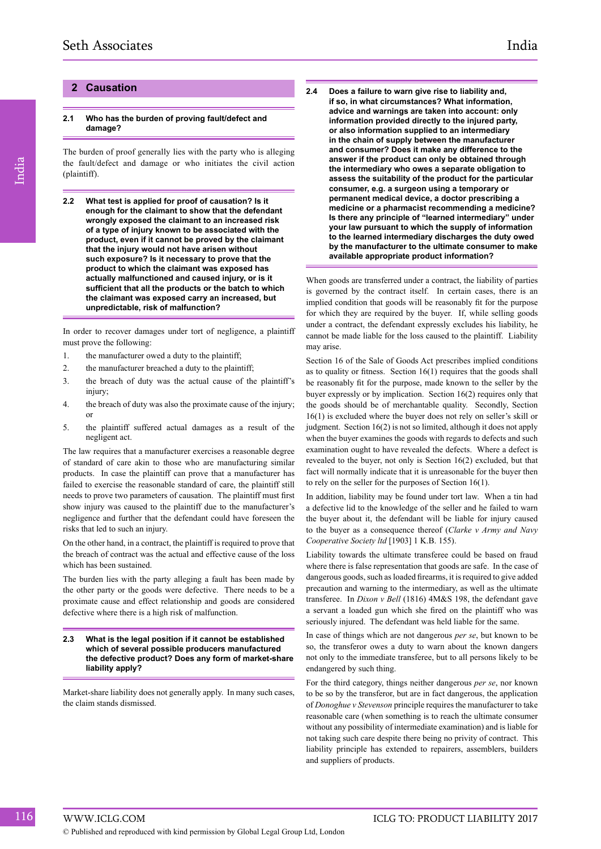# **2 Causation**

#### **2.1 Who has the burden of proving fault/defect and damage?**

The burden of proof generally lies with the party who is alleging the fault/defect and damage or who initiates the civil action (plaintiff).

**2.2 What test is applied for proof of causation? Is it enough for the claimant to show that the defendant wrongly exposed the claimant to an increased risk of a type of injury known to be associated with the product, even if it cannot be proved by the claimant that the injury would not have arisen without such exposure? Is it necessary to prove that the product to which the claimant was exposed has actually malfunctioned and caused injury, or is it sufficient that all the products or the batch to which the claimant was exposed carry an increased, but unpredictable, risk of malfunction?** 

In order to recover damages under tort of negligence, a plaintiff must prove the following:

- 1. the manufacturer owed a duty to the plaintiff;
- 2. the manufacturer breached a duty to the plaintiff;
- 3. the breach of duty was the actual cause of the plaintiff's injury;
- 4. the breach of duty was also the proximate cause of the injury; or
- 5. the plaintiff suffered actual damages as a result of the negligent act.

The law requires that a manufacturer exercises a reasonable degree of standard of care akin to those who are manufacturing similar products. In case the plaintiff can prove that a manufacturer has failed to exercise the reasonable standard of care, the plaintiff still needs to prove two parameters of causation. The plaintiff must first show injury was caused to the plaintiff due to the manufacturer's negligence and further that the defendant could have foreseen the risks that led to such an injury.

On the other hand, in a contract, the plaintiff is required to prove that the breach of contract was the actual and effective cause of the loss which has been sustained.

The burden lies with the party alleging a fault has been made by the other party or the goods were defective. There needs to be a proximate cause and effect relationship and goods are considered defective where there is a high risk of malfunction.

#### **2.3 What is the legal position if it cannot be established which of several possible producers manufactured the defective product? Does any form of market-share liability apply?**

Market-share liability does not generally apply. In many such cases, the claim stands dismissed.

**2.4 Does a failure to warn give rise to liability and, if so, in what circumstances? What information, advice and warnings are taken into account: only information provided directly to the injured party, or also information supplied to an intermediary in the chain of supply between the manufacturer and consumer? Does it make any difference to the answer if the product can only be obtained through the intermediary who owes a separate obligation to assess the suitability of the product for the particular consumer, e.g. a surgeon using a temporary or permanent medical device, a doctor prescribing a medicine or a pharmacist recommending a medicine? Is there any principle of "learned intermediary" under your law pursuant to which the supply of information to the learned intermediary discharges the duty owed by the manufacturer to the ultimate consumer to make available appropriate product information?**

When goods are transferred under a contract, the liability of parties is governed by the contract itself. In certain cases, there is an implied condition that goods will be reasonably fit for the purpose for which they are required by the buyer. If, while selling goods under a contract, the defendant expressly excludes his liability, he cannot be made liable for the loss caused to the plaintiff. Liability may arise.

Section 16 of the Sale of Goods Act prescribes implied conditions as to quality or fitness. Section 16(1) requires that the goods shall be reasonably fit for the purpose, made known to the seller by the buyer expressly or by implication. Section 16(2) requires only that the goods should be of merchantable quality. Secondly, Section 16(1) is excluded where the buyer does not rely on seller's skill or judgment. Section 16(2) is not so limited, although it does not apply when the buyer examines the goods with regards to defects and such examination ought to have revealed the defects. Where a defect is revealed to the buyer, not only is Section 16(2) excluded, but that fact will normally indicate that it is unreasonable for the buyer then to rely on the seller for the purposes of Section 16(1).

In addition, liability may be found under tort law. When a tin had a defective lid to the knowledge of the seller and he failed to warn the buyer about it, the defendant will be liable for injury caused to the buyer as a consequence thereof (*Clarke v Army and Navy Cooperative Society ltd* [1903] 1 K.B. 155).

Liability towards the ultimate transferee could be based on fraud where there is false representation that goods are safe. In the case of dangerous goods, such as loaded firearms, it is required to give added precaution and warning to the intermediary, as well as the ultimate transferee. In *Dixon v Bell* (1816) 4M&S 198, the defendant gave a servant a loaded gun which she fired on the plaintiff who was seriously injured. The defendant was held liable for the same.

In case of things which are not dangerous *per se*, but known to be so, the transferor owes a duty to warn about the known dangers not only to the immediate transferee, but to all persons likely to be endangered by such thing.

For the third category, things neither dangerous *per se*, nor known to be so by the transferor, but are in fact dangerous, the application of *Donoghue v Stevenson* principle requires the manufacturer to take reasonable care (when something is to reach the ultimate consumer without any possibility of intermediate examination) and is liable for not taking such care despite there being no privity of contract. This liability principle has extended to repairers, assemblers, builders and suppliers of products.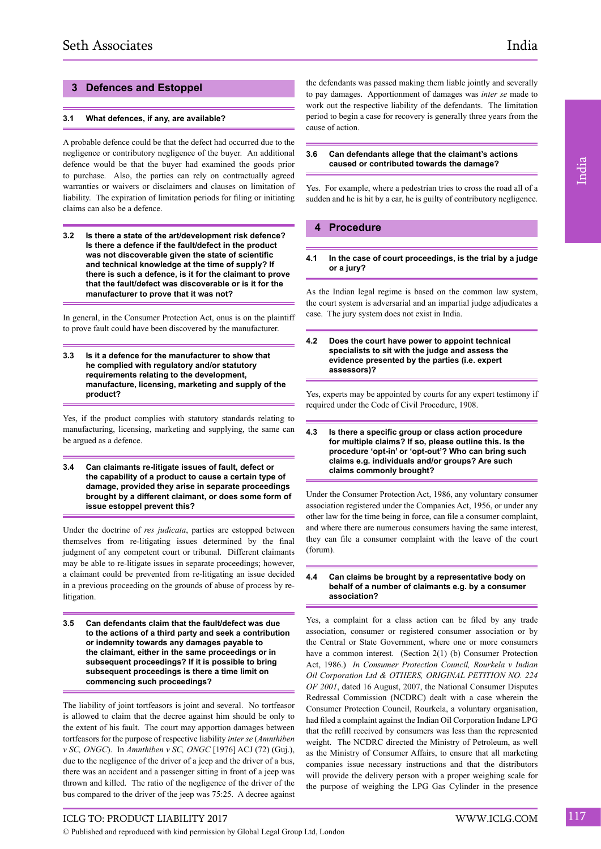### **3 Defences and Estoppel**

#### **3.1 What defences, if any, are available?**

A probable defence could be that the defect had occurred due to the negligence or contributory negligence of the buyer. An additional defence would be that the buyer had examined the goods prior to purchase. Also, the parties can rely on contractually agreed warranties or waivers or disclaimers and clauses on limitation of liability. The expiration of limitation periods for filing or initiating claims can also be a defence.

**3.2 Is there a state of the art/development risk defence? Is there a defence if the fault/defect in the product was not discoverable given the state of scientific and technical knowledge at the time of supply? If there is such a defence, is it for the claimant to prove that the fault/defect was discoverable or is it for the manufacturer to prove that it was not?**

In general, in the Consumer Protection Act, onus is on the plaintiff to prove fault could have been discovered by the manufacturer.

**3.3 Is it a defence for the manufacturer to show that he complied with regulatory and/or statutory requirements relating to the development, manufacture, licensing, marketing and supply of the product?**

Yes, if the product complies with statutory standards relating to manufacturing, licensing, marketing and supplying, the same can be argued as a defence.

**3.4 Can claimants re-litigate issues of fault, defect or the capability of a product to cause a certain type of damage, provided they arise in separate proceedings brought by a different claimant, or does some form of issue estoppel prevent this?**

Under the doctrine of *res judicata*, parties are estopped between themselves from re-litigating issues determined by the final judgment of any competent court or tribunal. Different claimants may be able to re-litigate issues in separate proceedings; however, a claimant could be prevented from re-litigating an issue decided in a previous proceeding on the grounds of abuse of process by relitigation.

**3.5 Can defendants claim that the fault/defect was due to the actions of a third party and seek a contribution or indemnity towards any damages payable to the claimant, either in the same proceedings or in subsequent proceedings? If it is possible to bring subsequent proceedings is there a time limit on commencing such proceedings?**

The liability of joint tortfeasors is joint and several. No tortfeasor is allowed to claim that the decree against him should be only to the extent of his fault. The court may apportion damages between tortfeasors for the purpose of respective liability *inter se* (*Amnthiben v SC, ONGC*). In *Amnthiben v SC, ONGC* [1976] ACJ (72) (Guj.), due to the negligence of the driver of a jeep and the driver of a bus, there was an accident and a passenger sitting in front of a jeep was thrown and killed. The ratio of the negligence of the driver of the bus compared to the driver of the jeep was 75:25. A decree against the defendants was passed making them liable jointly and severally to pay damages. Apportionment of damages was *inter se* made to work out the respective liability of the defendants. The limitation period to begin a case for recovery is generally three years from the cause of action.

#### **3.6 Can defendants allege that the claimant's actions caused or contributed towards the damage?**

Yes. For example, where a pedestrian tries to cross the road all of a sudden and he is hit by a car, he is guilty of contributory negligence.

#### **4 Procedure**

#### **4.1 In the case of court proceedings, is the trial by a judge or a jury?**

As the Indian legal regime is based on the common law system, the court system is adversarial and an impartial judge adjudicates a case. The jury system does not exist in India.

**4.2 Does the court have power to appoint technical specialists to sit with the judge and assess the evidence presented by the parties (i.e. expert assessors)?**

Yes, experts may be appointed by courts for any expert testimony if required under the Code of Civil Procedure, 1908.

**4.3 Is there a specific group or class action procedure for multiple claims? If so, please outline this. Is the procedure 'opt-in' or 'opt-out'? Who can bring such claims e.g. individuals and/or groups? Are such claims commonly brought?**

Under the Consumer Protection Act, 1986, any voluntary consumer association registered under the Companies Act, 1956, or under any other law for the time being in force, can file a consumer complaint, and where there are numerous consumers having the same interest, they can file a consumer complaint with the leave of the court (forum).

**4.4 Can claims be brought by a representative body on behalf of a number of claimants e.g. by a consumer association?**

Yes, a complaint for a class action can be filed by any trade association, consumer or registered consumer association or by the Central or State Government, where one or more consumers have a common interest. (Section 2(1) (b) Consumer Protection Act, 1986.) *In Consumer Protection Council, Rourkela v Indian Oil Corporation Ltd & OTHERS, ORIGINAL PETITION NO. 224 OF 2001*, dated 16 August, 2007, the National Consumer Disputes Redressal Commission (NCDRC) dealt with a case wherein the Consumer Protection Council, Rourkela, a voluntary organisation, had filed a complaint against the Indian Oil Corporation Indane LPG that the refill received by consumers was less than the represented weight. The NCDRC directed the Ministry of Petroleum, as well as the Ministry of Consumer Affairs, to ensure that all marketing companies issue necessary instructions and that the distributors will provide the delivery person with a proper weighing scale for the purpose of weighing the LPG Gas Cylinder in the presence

ICLG TO: PRODUCT LIABILITY 2017 WWW.ICLG.COM 117 © Published and reproduced with kind permission by Global Legal Group Ltd, London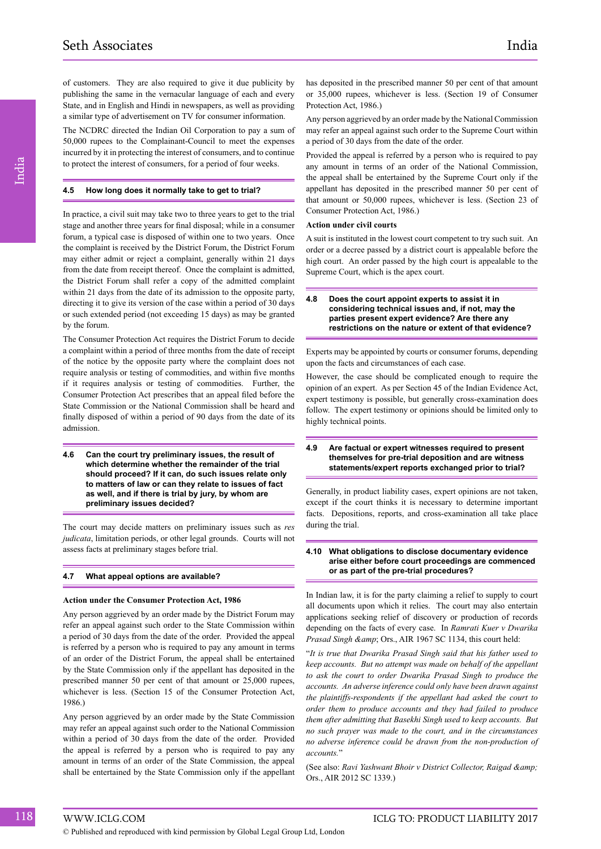of customers. They are also required to give it due publicity by publishing the same in the vernacular language of each and every State, and in English and Hindi in newspapers, as well as providing a similar type of advertisement on TV for consumer information.

The NCDRC directed the Indian Oil Corporation to pay a sum of 50,000 rupees to the Complainant-Council to meet the expenses incurred by it in protecting the interest of consumers, and to continue to protect the interest of consumers, for a period of four weeks.

#### **4.5 How long does it normally take to get to trial?**

In practice, a civil suit may take two to three years to get to the trial stage and another three years for final disposal; while in a consumer forum, a typical case is disposed of within one to two years. Once the complaint is received by the District Forum, the District Forum may either admit or reject a complaint, generally within 21 days from the date from receipt thereof. Once the complaint is admitted, the District Forum shall refer a copy of the admitted complaint within 21 days from the date of its admission to the opposite party, directing it to give its version of the case within a period of 30 days or such extended period (not exceeding 15 days) as may be granted by the forum.

The Consumer Protection Act requires the District Forum to decide a complaint within a period of three months from the date of receipt of the notice by the opposite party where the complaint does not require analysis or testing of commodities, and within five months if it requires analysis or testing of commodities. Further, the Consumer Protection Act prescribes that an appeal filed before the State Commission or the National Commission shall be heard and finally disposed of within a period of 90 days from the date of its admission.

**4.6 Can the court try preliminary issues, the result of which determine whether the remainder of the trial should proceed? If it can, do such issues relate only to matters of law or can they relate to issues of fact as well, and if there is trial by jury, by whom are preliminary issues decided?**

The court may decide matters on preliminary issues such as *res judicata*, limitation periods, or other legal grounds. Courts will not assess facts at preliminary stages before trial.

#### **4.7 What appeal options are available?**

#### **Action under the Consumer Protection Act, 1986**

Any person aggrieved by an order made by the District Forum may refer an appeal against such order to the State Commission within a period of 30 days from the date of the order. Provided the appeal is referred by a person who is required to pay any amount in terms of an order of the District Forum, the appeal shall be entertained by the State Commission only if the appellant has deposited in the prescribed manner 50 per cent of that amount or 25,000 rupees, whichever is less. (Section 15 of the Consumer Protection Act, 1986.)

Any person aggrieved by an order made by the State Commission may refer an appeal against such order to the National Commission within a period of 30 days from the date of the order. Provided the appeal is referred by a person who is required to pay any amount in terms of an order of the State Commission, the appeal shall be entertained by the State Commission only if the appellant has deposited in the prescribed manner 50 per cent of that amount or 35,000 rupees, whichever is less. (Section 19 of Consumer Protection Act, 1986.)

Any person aggrieved by an order made by the National Commission may refer an appeal against such order to the Supreme Court within a period of 30 days from the date of the order.

Provided the appeal is referred by a person who is required to pay any amount in terms of an order of the National Commission, the appeal shall be entertained by the Supreme Court only if the appellant has deposited in the prescribed manner 50 per cent of that amount or 50,000 rupees, whichever is less. (Section 23 of Consumer Protection Act, 1986.)

#### **Action under civil courts**

A suit is instituted in the lowest court competent to try such suit. An order or a decree passed by a district court is appealable before the high court. An order passed by the high court is appealable to the Supreme Court, which is the apex court.

#### **4.8 Does the court appoint experts to assist it in considering technical issues and, if not, may the parties present expert evidence? Are there any restrictions on the nature or extent of that evidence?**

Experts may be appointed by courts or consumer forums, depending upon the facts and circumstances of each case.

However, the case should be complicated enough to require the opinion of an expert. As per Section 45 of the Indian Evidence Act, expert testimony is possible, but generally cross-examination does follow. The expert testimony or opinions should be limited only to highly technical points.

#### **4.9 Are factual or expert witnesses required to present themselves for pre-trial deposition and are witness statements/expert reports exchanged prior to trial?**

Generally, in product liability cases, expert opinions are not taken, except if the court thinks it is necessary to determine important facts. Depositions, reports, and cross-examination all take place during the trial.

#### **4.10 What obligations to disclose documentary evidence arise either before court proceedings are commenced or as part of the pre-trial procedures?**

In Indian law, it is for the party claiming a relief to supply to court all documents upon which it relies. The court may also entertain applications seeking relief of discovery or production of records depending on the facts of every case. In *Ramrati Kuer v Dwarika*  Prasad Singh & Ors., AIR 1967 SC 1134, this court held:

"*It is true that Dwarika Prasad Singh said that his father used to keep accounts. But no attempt was made on behalf of the appellant to ask the court to order Dwarika Prasad Singh to produce the accounts. An adverse inference could only have been drawn against the plaintiffs-respondents if the appellant had asked the court to order them to produce accounts and they had failed to produce them after admitting that Basekhi Singh used to keep accounts. But no such prayer was made to the court, and in the circumstances no adverse inference could be drawn from the non-production of accounts.*"

(See also: *Ravi Yashwant Bhoir v District Collector, Raigad &*  Ors., AIR 2012 SC 1339.)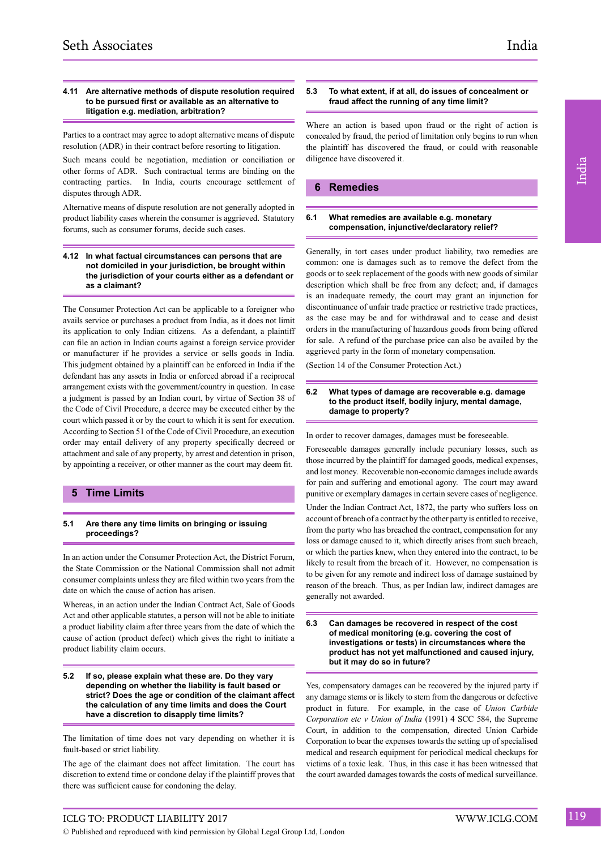#### **4.11 Are alternative methods of dispute resolution required to be pursued first or available as an alternative to litigation e.g. mediation, arbitration?**

Parties to a contract may agree to adopt alternative means of dispute resolution (ADR) in their contract before resorting to litigation.

Such means could be negotiation, mediation or conciliation or other forms of ADR. Such contractual terms are binding on the contracting parties. In India, courts encourage settlement of disputes through ADR.

Alternative means of dispute resolution are not generally adopted in product liability cases wherein the consumer is aggrieved. Statutory forums, such as consumer forums, decide such cases.

#### **4.12 In what factual circumstances can persons that are not domiciled in your jurisdiction, be brought within the jurisdiction of your courts either as a defendant or as a claimant?**

The Consumer Protection Act can be applicable to a foreigner who avails service or purchases a product from India, as it does not limit its application to only Indian citizens. As a defendant, a plaintiff can file an action in Indian courts against a foreign service provider or manufacturer if he provides a service or sells goods in India. This judgment obtained by a plaintiff can be enforced in India if the defendant has any assets in India or enforced abroad if a reciprocal arrangement exists with the government/country in question. In case a judgment is passed by an Indian court, by virtue of Section 38 of the Code of Civil Procedure, a decree may be executed either by the court which passed it or by the court to which it is sent for execution. According to Section 51 of the Code of Civil Procedure, an execution order may entail delivery of any property specifically decreed or attachment and sale of any property, by arrest and detention in prison, by appointing a receiver, or other manner as the court may deem fit.

#### **5 Time Limits**

#### **5.1 Are there any time limits on bringing or issuing proceedings?**

In an action under the Consumer Protection Act, the District Forum, the State Commission or the National Commission shall not admit consumer complaints unless they are filed within two years from the date on which the cause of action has arisen.

Whereas, in an action under the Indian Contract Act, Sale of Goods Act and other applicable statutes, a person will not be able to initiate a product liability claim after three years from the date of which the cause of action (product defect) which gives the right to initiate a product liability claim occurs.

**5.2 If so, please explain what these are. Do they vary depending on whether the liability is fault based or strict? Does the age or condition of the claimant affect the calculation of any time limits and does the Court have a discretion to disapply time limits?**

The limitation of time does not vary depending on whether it is fault-based or strict liability.

The age of the claimant does not affect limitation. The court has discretion to extend time or condone delay if the plaintiff proves that there was sufficient cause for condoning the delay.

#### **5.3 To what extent, if at all, do issues of concealment or fraud affect the running of any time limit?**

Where an action is based upon fraud or the right of action is concealed by fraud, the period of limitation only begins to run when the plaintiff has discovered the fraud, or could with reasonable diligence have discovered it.

#### **6 Remedies**

#### **6.1 What remedies are available e.g. monetary compensation, injunctive/declaratory relief?**

Generally, in tort cases under product liability, two remedies are common: one is damages such as to remove the defect from the goods or to seek replacement of the goods with new goods of similar description which shall be free from any defect; and, if damages is an inadequate remedy, the court may grant an injunction for discontinuance of unfair trade practice or restrictive trade practices, as the case may be and for withdrawal and to cease and desist orders in the manufacturing of hazardous goods from being offered for sale. A refund of the purchase price can also be availed by the aggrieved party in the form of monetary compensation.

(Section 14 of the Consumer Protection Act.)

#### **6.2 What types of damage are recoverable e.g. damage to the product itself, bodily injury, mental damage, damage to property?**

In order to recover damages, damages must be foreseeable.

Foreseeable damages generally include pecuniary losses, such as those incurred by the plaintiff for damaged goods, medical expenses, and lost money. Recoverable non-economic damages include awards for pain and suffering and emotional agony. The court may award punitive or exemplary damages in certain severe cases of negligence. Under the Indian Contract Act, 1872, the party who suffers loss on account of breach of a contract by the other party is entitled to receive,

from the party who has breached the contract, compensation for any loss or damage caused to it, which directly arises from such breach, or which the parties knew, when they entered into the contract, to be likely to result from the breach of it. However, no compensation is to be given for any remote and indirect loss of damage sustained by reason of the breach. Thus, as per Indian law, indirect damages are generally not awarded.

Yes, compensatory damages can be recovered by the injured party if any damage stems or is likely to stem from the dangerous or defective product in future. For example, in the case of *Union Carbide Corporation etc v Union of India* (1991) 4 SCC 584, the Supreme Court, in addition to the compensation, directed Union Carbide Corporation to bear the expenses towards the setting up of specialised medical and research equipment for periodical medical checkups for victims of a toxic leak. Thus, in this case it has been witnessed that the court awarded damages towards the costs of medical surveillance.

**<sup>6.3</sup> Can damages be recovered in respect of the cost of medical monitoring (e.g. covering the cost of investigations or tests) in circumstances where the product has not yet malfunctioned and caused injury, but it may do so in future?**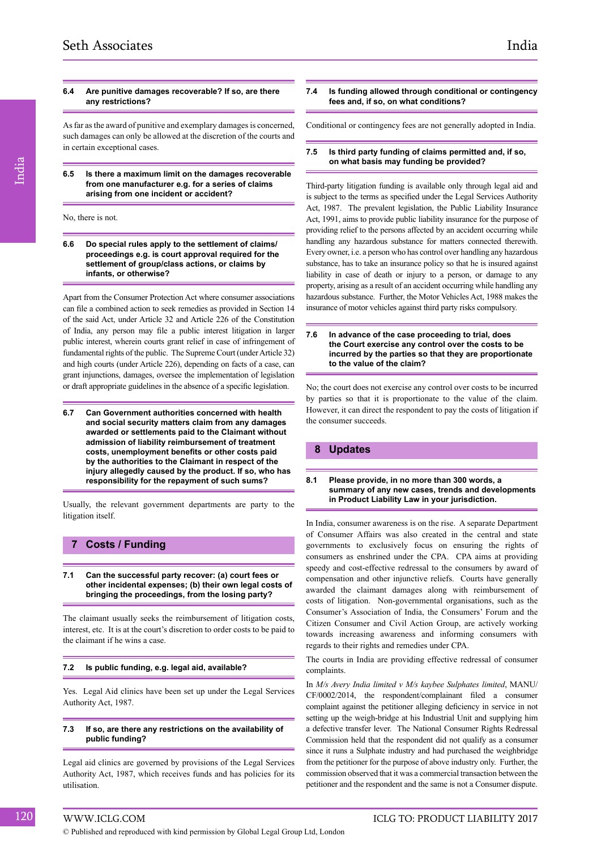#### **6.4 Are punitive damages recoverable? If so, are there any restrictions?**

As far as the award of punitive and exemplary damages is concerned, such damages can only be allowed at the discretion of the courts and in certain exceptional cases.

#### **6.5 Is there a maximum limit on the damages recoverable from one manufacturer e.g. for a series of claims arising from one incident or accident?**

No, there is not.

#### **6.6 Do special rules apply to the settlement of claims/ proceedings e.g. is court approval required for the settlement of group/class actions, or claims by infants, or otherwise?**

Apart from the Consumer Protection Act where consumer associations can file a combined action to seek remedies as provided in Section 14 of the said Act, under Article 32 and Article 226 of the Constitution of India, any person may file a public interest litigation in larger public interest, wherein courts grant relief in case of infringement of fundamental rights of the public. The Supreme Court (under Article 32) and high courts (under Article 226), depending on facts of a case, can grant injunctions, damages, oversee the implementation of legislation or draft appropriate guidelines in the absence of a specific legislation.

**6.7 Can Government authorities concerned with health and social security matters claim from any damages awarded or settlements paid to the Claimant without admission of liability reimbursement of treatment costs, unemployment benefits or other costs paid by the authorities to the Claimant in respect of the injury allegedly caused by the product. If so, who has responsibility for the repayment of such sums?**

Usually, the relevant government departments are party to the litigation itself.

# **7 Costs / Funding**

**7.1 Can the successful party recover: (a) court fees or other incidental expenses; (b) their own legal costs of bringing the proceedings, from the losing party?**

The claimant usually seeks the reimbursement of litigation costs, interest, etc. It is at the court's discretion to order costs to be paid to the claimant if he wins a case.

#### **7.2 Is public funding, e.g. legal aid, available?**

Yes. Legal Aid clinics have been set up under the Legal Services Authority Act, 1987.

#### **7.3 If so, are there any restrictions on the availability of public funding?**

Legal aid clinics are governed by provisions of the Legal Services Authority Act, 1987, which receives funds and has policies for its utilisation.

#### **7.4 Is funding allowed through conditional or contingency fees and, if so, on what conditions?**

Conditional or contingency fees are not generally adopted in India.

#### **7.5 Is third party funding of claims permitted and, if so, on what basis may funding be provided?**

Third-party litigation funding is available only through legal aid and is subject to the terms as specified under the Legal Services Authority Act, 1987. The prevalent legislation, the Public Liability Insurance Act, 1991, aims to provide public liability insurance for the purpose of providing relief to the persons affected by an accident occurring while handling any hazardous substance for matters connected therewith. Every owner, i.e. a person who has control over handling any hazardous substance, has to take an insurance policy so that he is insured against liability in case of death or injury to a person, or damage to any property, arising as a result of an accident occurring while handling any hazardous substance. Further, the Motor Vehicles Act, 1988 makes the insurance of motor vehicles against third party risks compulsory.

#### **7.6 In advance of the case proceeding to trial, does the Court exercise any control over the costs to be incurred by the parties so that they are proportionate to the value of the claim?**

No; the court does not exercise any control over costs to be incurred by parties so that it is proportionate to the value of the claim. However, it can direct the respondent to pay the costs of litigation if the consumer succeeds.

#### **8 Updates**

#### **8.1 Please provide, in no more than 300 words, a summary of any new cases, trends and developments in Product Liability Law in your jurisdiction.**

In India, consumer awareness is on the rise. A separate Department of Consumer Affairs was also created in the central and state governments to exclusively focus on ensuring the rights of consumers as enshrined under the CPA. CPA aims at providing speedy and cost-effective redressal to the consumers by award of compensation and other injunctive reliefs. Courts have generally awarded the claimant damages along with reimbursement of costs of litigation. Non-governmental organisations, such as the Consumer's Association of India, the Consumers' Forum and the Citizen Consumer and Civil Action Group, are actively working towards increasing awareness and informing consumers with regards to their rights and remedies under CPA.

The courts in India are providing effective redressal of consumer complaints.

In *M/s Avery India limited v M/s kaybee Sulphates limited*, MANU/ CF/0002/2014, the respondent/complainant filed a consumer complaint against the petitioner alleging deficiency in service in not setting up the weigh-bridge at his Industrial Unit and supplying him a defective transfer lever. The National Consumer Rights Redressal Commission held that the respondent did not qualify as a consumer since it runs a Sulphate industry and had purchased the weighbridge from the petitioner for the purpose of above industry only. Further, the commission observed that it was a commercial transaction between the petitioner and the respondent and the same is not a Consumer dispute.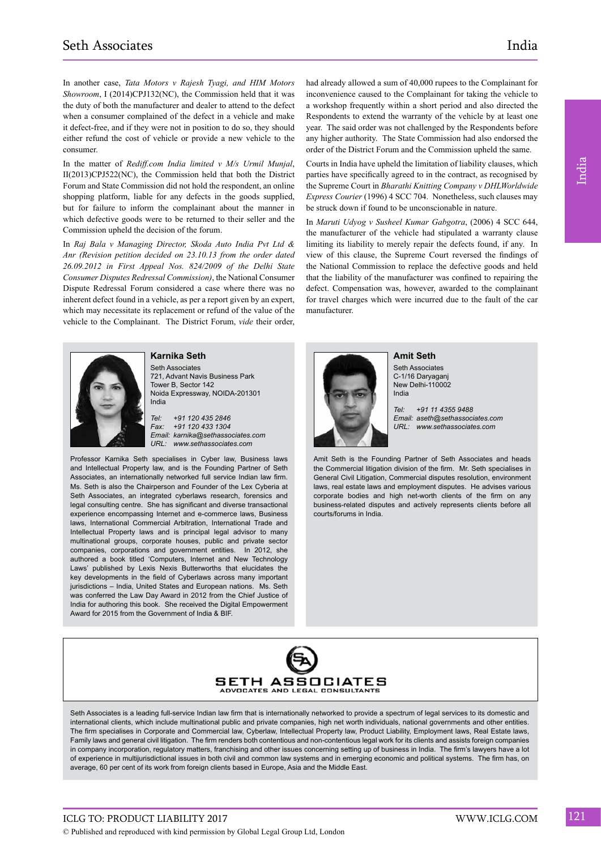In another case, *Tata Motors v Rajesh Tyagi, and HIM Motors Showroom*, I (2014)CPJ132(NC), the Commission held that it was the duty of both the manufacturer and dealer to attend to the defect when a consumer complained of the defect in a vehicle and make it defect-free, and if they were not in position to do so, they should either refund the cost of vehicle or provide a new vehicle to the consumer.

In the matter of *Rediff.com India limited v M/s Urmil Munjal*, II(2013)CPJ522(NC), the Commission held that both the District Forum and State Commission did not hold the respondent, an online shopping platform, liable for any defects in the goods supplied, but for failure to inform the complainant about the manner in which defective goods were to be returned to their seller and the Commission upheld the decision of the forum.

In *Raj Bala v Managing Director, Skoda Auto India Pvt Ltd & Anr (Revision petition decided on 23.10.13 from the order dated 26.09.2012 in First Appeal Nos. 824/2009 of the Delhi State Consumer Disputes Redressal Commission)*, the National Consumer Dispute Redressal Forum considered a case where there was no inherent defect found in a vehicle, as per a report given by an expert, which may necessitate its replacement or refund of the value of the vehicle to the Complainant. The District Forum, *vide* their order,

had already allowed a sum of 40,000 rupees to the Complainant for inconvenience caused to the Complainant for taking the vehicle to a workshop frequently within a short period and also directed the Respondents to extend the warranty of the vehicle by at least one year. The said order was not challenged by the Respondents before any higher authority. The State Commission had also endorsed the order of the District Forum and the Commission upheld the same.

Courts in India have upheld the limitation of liability clauses, which parties have specifically agreed to in the contract, as recognised by the Supreme Court in *Bharathi Knitting Company v DHLWorldwide Express Courier* (1996) 4 SCC 704. Nonetheless, such clauses may be struck down if found to be unconscionable in nature.

In *Maruti Udyog v Susheel Kumar Gabgotra*, (2006) 4 SCC 644, the manufacturer of the vehicle had stipulated a warranty clause limiting its liability to merely repair the defects found, if any. In view of this clause, the Supreme Court reversed the findings of the National Commission to replace the defective goods and held that the liability of the manufacturer was confined to repairing the defect. Compensation was, however, awarded to the complainant for travel charges which were incurred due to the fault of the car manufacturer.



## **Karnika Seth**

Seth Associates 721, Advant Navis Business Park Tower B, Sector 142 Noida Expressway, NOIDA-201301 India

*Tel: +91 120 435 2846 Fax: +91 120 433 1304 Email: karnika@sethassociates.com URL: www.sethassociates.com*

Professor Karnika Seth specialises in Cyber law, Business laws and Intellectual Property law, and is the Founding Partner of Seth Associates, an internationally networked full service Indian law firm. Ms. Seth is also the Chairperson and Founder of the Lex Cyberia at Seth Associates, an integrated cyberlaws research, forensics and legal consulting centre. She has significant and diverse transactional experience encompassing Internet and e-commerce laws, Business laws, International Commercial Arbitration, International Trade and Intellectual Property laws and is principal legal advisor to many multinational groups, corporate houses, public and private sector companies, corporations and government entities. In 2012, she authored a book titled 'Computers, Internet and New Technology Laws' published by Lexis Nexis Butterworths that elucidates the key developments in the field of Cyberlaws across many important jurisdictions – India, United States and European nations. Ms. Seth was conferred the Law Day Award in 2012 from the Chief Justice of India for authoring this book. She received the Digital Empowerment Award for 2015 from the Government of India & BIF.

**Amit Seth** Seth Associates C-1/16 Daryaganj New Delhi-110002

India

*Tel: +91 11 4355 9488 Email: aseth@sethassociates.com URL: www.sethassociates.com*

Amit Seth is the Founding Partner of Seth Associates and heads the Commercial litigation division of the firm. Mr. Seth specialises in General Civil Litigation, Commercial disputes resolution, environment laws, real estate laws and employment disputes. He advises various corporate bodies and high net-worth clients of the firm on any business-related disputes and actively represents clients before all courts/forums in India.



Seth Associates is a leading full-service Indian law firm that is internationally networked to provide a spectrum of legal services to its domestic and international clients, which include multinational public and private companies, high net worth individuals, national governments and other entities. The firm specialises in Corporate and Commercial law, Cyberlaw, Intellectual Property law, Product Liability, Employment laws, Real Estate laws, Family laws and general civil litigation. The firm renders both contentious and non-contentious legal work for its clients and assists foreign companies in company incorporation, regulatory matters, franchising and other issues concerning setting up of business in India. The firm's lawyers have a lot of experience in multijurisdictional issues in both civil and common law systems and in emerging economic and political systems. The firm has, on average, 60 per cent of its work from foreign clients based in Europe, Asia and the Middle East.